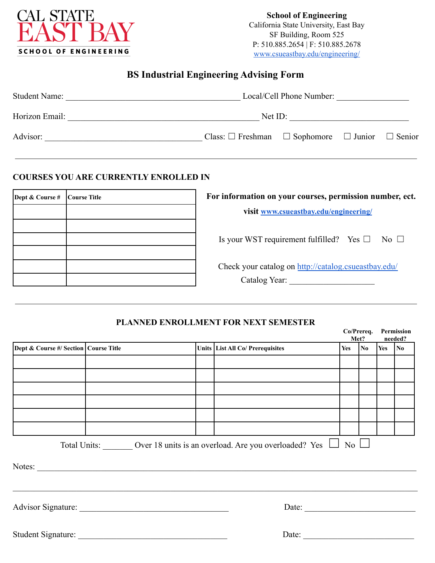

**School of Engineering** California State University, East Bay SF Building, Room 525 P: 510.885.2654 | F: 510.885.2678 [www.csueastbay.edu/engineering/](http://www.csueastbay.edu/engineering/)

## **BS Industrial Engineering Advising Form**

| Local/Cell Phone Number:<br><b>Student Name:</b> |                                                                     |  |  |  |
|--------------------------------------------------|---------------------------------------------------------------------|--|--|--|
| Horizon Email:                                   | Net ID:                                                             |  |  |  |
| Advisor:                                         | Class: $\Box$ Freshman $\Box$ Sophomore $\Box$ Junior $\Box$ Senior |  |  |  |

#### **COURSES YOU ARE CURRENTLY ENROLLED IN**

| Dept & Course # | Course Title | For information on your courses, permission number, ect. |  |  |
|-----------------|--------------|----------------------------------------------------------|--|--|
|                 |              | visit www.csueastbay.edu/engineering/                    |  |  |
|                 |              |                                                          |  |  |
|                 |              | Is your WST requirement fulfilled? Yes $\Box$ No $\Box$  |  |  |
|                 |              |                                                          |  |  |
|                 |              | Check your catalog on http://catalog.csueastbay.edu/     |  |  |
|                 |              | Catalog Year:                                            |  |  |

### **PLANNED ENROLLMENT FOR NEXT SEMESTER**

|                                         |  |                                                                           |                  | Co/Prereq.<br>Met?  |            | Permission<br>needed? |
|-----------------------------------------|--|---------------------------------------------------------------------------|------------------|---------------------|------------|-----------------------|
| Dept & Course #/ Section   Course Title |  | Units List All Co/ Prerequisites                                          | Yes              | $\overline{\bf No}$ | $Yes$   No |                       |
|                                         |  |                                                                           |                  |                     |            |                       |
|                                         |  |                                                                           |                  |                     |            |                       |
|                                         |  |                                                                           |                  |                     |            |                       |
|                                         |  |                                                                           |                  |                     |            |                       |
|                                         |  |                                                                           |                  |                     |            |                       |
|                                         |  |                                                                           |                  |                     |            |                       |
|                                         |  | Total Units: Over 18 units is an overload. Are you overloaded? Yes $\Box$ | $\overline{N_0}$ |                     |            |                       |
|                                         |  |                                                                           |                  |                     |            |                       |
|                                         |  | Date: $\qquad \qquad$                                                     |                  |                     |            |                       |
|                                         |  | Date:                                                                     |                  |                     |            |                       |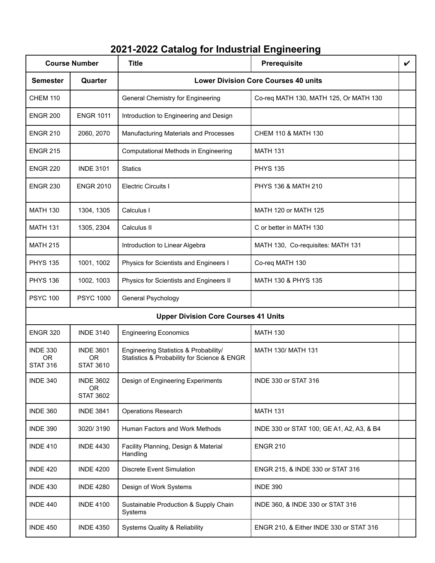# **2021-2022 Catalog for Industrial Engineering**

| <b>Course Number</b>                            |                                                   | <b>Title</b>                                                                         | <b>Prerequisite</b>                         | $\boldsymbol{\nu}$ |
|-------------------------------------------------|---------------------------------------------------|--------------------------------------------------------------------------------------|---------------------------------------------|--------------------|
| <b>Semester</b>                                 | Quarter                                           |                                                                                      | <b>Lower Division Core Courses 40 units</b> |                    |
| <b>CHEM 110</b>                                 |                                                   | <b>General Chemistry for Engineering</b>                                             | Co-req MATH 130, MATH 125, Or MATH 130      |                    |
| <b>ENGR 200</b>                                 | <b>ENGR 1011</b>                                  | Introduction to Engineering and Design                                               |                                             |                    |
| <b>ENGR 210</b>                                 | 2060, 2070                                        | Manufacturing Materials and Processes                                                | CHEM 110 & MATH 130                         |                    |
| <b>ENGR 215</b>                                 |                                                   | Computational Methods in Engineering                                                 | <b>MATH 131</b>                             |                    |
| <b>ENGR 220</b>                                 | <b>INDE 3101</b>                                  | <b>Statics</b>                                                                       | <b>PHYS 135</b>                             |                    |
| <b>ENGR 230</b>                                 | <b>ENGR 2010</b>                                  | <b>Electric Circuits I</b>                                                           | PHYS 136 & MATH 210                         |                    |
| <b>MATH 130</b>                                 | 1304, 1305                                        | Calculus I                                                                           | MATH 120 or MATH 125                        |                    |
| <b>MATH 131</b>                                 | 1305, 2304                                        | Calculus II                                                                          | C or better in MATH 130                     |                    |
| <b>MATH 215</b>                                 |                                                   | Introduction to Linear Algebra                                                       | MATH 130, Co-requisites: MATH 131           |                    |
| <b>PHYS 135</b>                                 | 1001, 1002                                        | Physics for Scientists and Engineers I                                               | Co-req MATH 130                             |                    |
| <b>PHYS 136</b>                                 | 1002, 1003                                        | Physics for Scientists and Engineers II                                              | MATH 130 & PHYS 135                         |                    |
| <b>PSYC 100</b>                                 | <b>PSYC 1000</b>                                  | General Psychology                                                                   |                                             |                    |
|                                                 |                                                   | <b>Upper Division Core Courses 41 Units</b>                                          |                                             |                    |
| <b>ENGR 320</b>                                 | <b>INDE 3140</b>                                  | <b>Engineering Economics</b>                                                         | <b>MATH 130</b>                             |                    |
| <b>INDE 330</b><br><b>OR</b><br><b>STAT 316</b> | <b>INDE 3601</b><br><b>OR</b><br><b>STAT 3610</b> | Engineering Statistics & Probability/<br>Statistics & Probability for Science & ENGR | <b>MATH 130/ MATH 131</b>                   |                    |
| <b>INDE 340</b>                                 | <b>INDE 3602</b><br><b>OR</b><br><b>STAT 3602</b> | Design of Engineering Experiments                                                    | INDE 330 or STAT 316                        |                    |
| <b>INDE 360</b>                                 | <b>INDE 3841</b>                                  | <b>Operations Research</b>                                                           | <b>MATH 131</b>                             |                    |
| <b>INDE 390</b>                                 | 3020/3190                                         | Human Factors and Work Methods                                                       | INDE 330 or STAT 100; GE A1, A2, A3, & B4   |                    |
| <b>INDE 410</b>                                 | <b>INDE 4430</b>                                  | Facility Planning, Design & Material<br>Handling                                     | <b>ENGR 210</b>                             |                    |
| <b>INDE 420</b>                                 | <b>INDE 4200</b>                                  | <b>Discrete Event Simulation</b>                                                     | ENGR 215, & INDE 330 or STAT 316            |                    |
| <b>INDE 430</b>                                 | <b>INDE 4280</b>                                  | Design of Work Systems                                                               | <b>INDE 390</b>                             |                    |
| <b>INDE 440</b>                                 | <b>INDE 4100</b>                                  | Sustainable Production & Supply Chain<br>Systems                                     | INDE 360, & INDE 330 or STAT 316            |                    |
| <b>INDE 450</b>                                 | <b>INDE 4350</b>                                  | <b>Systems Quality &amp; Reliability</b>                                             | ENGR 210, & Either INDE 330 or STAT 316     |                    |